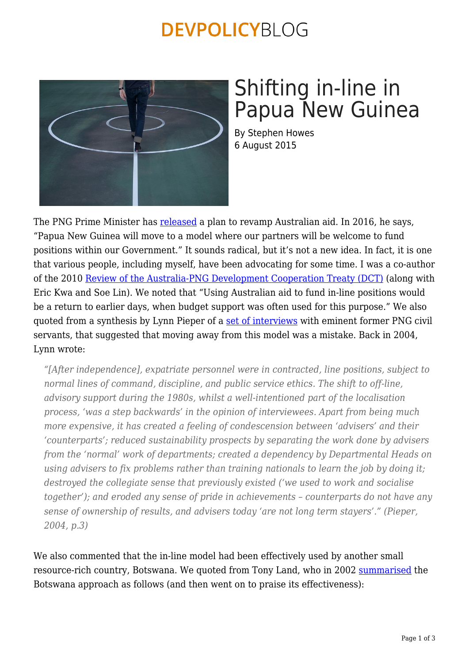### **DEVPOLICYBLOG**



# Shifting in-line in Papua New Guinea

By Stephen Howes 6 August 2015

The PNG Prime Minister has [released](http://www.officeofprimeminister.com/#!-Need-for-better-way-to-use-aid-/c248k/55bffcf50cf285bbf30428e9) a plan to revamp Australian aid. In 2016, he says, "Papua New Guinea will move to a model where our partners will be welcome to fund positions within our Government." It sounds radical, but it's not a new idea. In fact, it is one that various people, including myself, have been advocating for some time. I was a co-author of the 2010 [Review of the Australia-PNG Development Cooperation Treaty \(DCT\)](http://dfat.gov.au/about-us/publications/Pages/review-of-the-png-australia-development-cooperation-treaty.aspx) (along with Eric Kwa and Soe Lin). We noted that "Using Australian aid to fund in-line positions would be a return to earlier days, when budget support was often used for this purpose." We also quoted from a synthesis by Lynn Pieper of a [set of interviews](http://dfat.gov.au/about-us/publications/Pages/deterioration-of-public-administration-in-papua-new-guinea-views-of-eminent-public-servants.aspx) with eminent former PNG civil servants, that suggested that moving away from this model was a mistake. Back in 2004, Lynn wrote:

*"[After independence], expatriate personnel were in contracted, line positions, subject to normal lines of command, discipline, and public service ethics. The shift to off-line, advisory support during the 1980s, whilst a well-intentioned part of the localisation process, 'was a step backwards' in the opinion of interviewees. Apart from being much more expensive, it has created a feeling of condescension between 'advisers' and their 'counterparts'; reduced sustainability prospects by separating the work done by advisers from the 'normal' work of departments; created a dependency by Departmental Heads on using advisers to fix problems rather than training nationals to learn the job by doing it; destroyed the collegiate sense that previously existed ('we used to work and socialise together'); and eroded any sense of pride in achievements – counterparts do not have any sense of ownership of results, and advisers today 'are not long term stayers'." (Pieper, 2004, p.3)*

We also commented that the in-line model had been effectively used by another small resource-rich country, Botswana. We quoted from Tony Land, who in 2002 [summarised](http://ecdpm.org/publications/taking-charge-technical-cooperation-experience-botswana/) the Botswana approach as follows (and then went on to praise its effectiveness):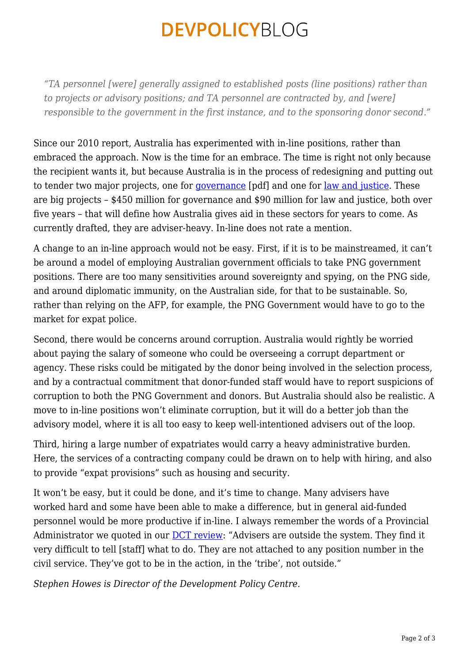## **DEVPOLICYBLOG**

*"TA personnel [were] generally assigned to established posts (line positions) rather than to projects or advisory positions; and TA personnel are contracted by, and [were] responsible to the government in the first instance, and to the sponsoring donor second."*

Since our 2010 report, Australia has experimented with in-line positions, rather than embraced the approach. Now is the time for an embrace. The time is right not only because the recipient wants it, but because Australia is in the process of redesigning and putting out to tender two major projects, one for [governance](http://dfat.gov.au/about-us/grants-tenders-funding/tenders/business-notifications/Documents/pgf-draft-design.pdf) [pdf] and one for [law and justice.](http://dfat.gov.au/about-us/grants-tenders-funding/tenders/business-notifications/Pages/investment-design-law-and-justice-support-in-png.aspx) These are big projects – \$450 million for governance and \$90 million for law and justice, both over five years – that will define how Australia gives aid in these sectors for years to come. As currently drafted, they are adviser-heavy. In-line does not rate a mention.

A change to an in-line approach would not be easy. First, if it is to be mainstreamed, it can't be around a model of employing Australian government officials to take PNG government positions. There are too many sensitivities around sovereignty and spying, on the PNG side, and around diplomatic immunity, on the Australian side, for that to be sustainable. So, rather than relying on the AFP, for example, the PNG Government would have to go to the market for expat police.

Second, there would be concerns around corruption. Australia would rightly be worried about paying the salary of someone who could be overseeing a corrupt department or agency. These risks could be mitigated by the donor being involved in the selection process, and by a contractual commitment that donor-funded staff would have to report suspicions of corruption to both the PNG Government and donors. But Australia should also be realistic. A move to in-line positions won't eliminate corruption, but it will do a better job than the advisory model, where it is all too easy to keep well-intentioned advisers out of the loop.

Third, hiring a large number of expatriates would carry a heavy administrative burden. Here, the services of a contracting company could be drawn on to help with hiring, and also to provide "expat provisions" such as housing and security.

It won't be easy, but it could be done, and it's time to change. Many advisers have worked hard and some have been able to make a difference, but in general aid-funded personnel would be more productive if in-line. I always remember the words of a Provincial Administrator we quoted in our [DCT review:](http://dfat.gov.au/about-us/publications/Pages/review-of-the-png-australia-development-cooperation-treaty.aspx) "Advisers are outside the system. They find it very difficult to tell [staff] what to do. They are not attached to any position number in the civil service. They've got to be in the action, in the 'tribe', not outside."

*Stephen Howes is Director of the Development Policy Centre.*